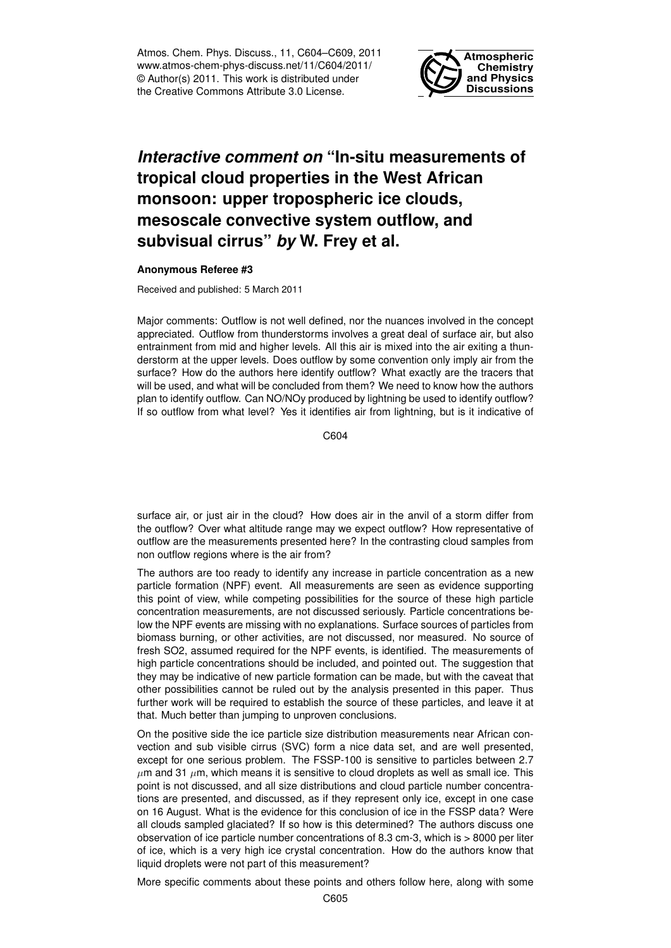Atmos. Chem. Phys. Discuss., 11, C604–C609, 2011 www.atmos-chem-phys-discuss.net/11/C604/2011/ © Author(s) 2011. This work is distributed under the Creative Commons Attribute 3.0 License.



## *Interactive comment on* **"In-situ measurements of tropical cloud properties in the West African monsoon: upper tropospheric ice clouds, mesoscale convective system outflow, and subvisual cirrus"** *by* **W. Frey et al.**

## **Anonymous Referee #3**

Received and published: 5 March 2011

Major comments: Outflow is not well defined, nor the nuances involved in the concept appreciated. Outflow from thunderstorms involves a great deal of surface air, but also entrainment from mid and higher levels. All this air is mixed into the air exiting a thunderstorm at the upper levels. Does outflow by some convention only imply air from the surface? How do the authors here identify outflow? What exactly are the tracers that will be used, and what will be concluded from them? We need to know how the authors plan to identify outflow. Can NO/NOy produced by lightning be used to identify outflow? If so outflow from what level? Yes it identifies air from lightning, but is it indicative of

 $C<sub>604</sub>$ 

surface air, or just air in the cloud? How does air in the anvil of a storm differ from the outflow? Over what altitude range may we expect outflow? How representative of outflow are the measurements presented here? In the contrasting cloud samples from non outflow regions where is the air from?

The authors are too ready to identify any increase in particle concentration as a new particle formation (NPF) event. All measurements are seen as evidence supporting this point of view, while competing possibilities for the source of these high particle concentration measurements, are not discussed seriously. Particle concentrations below the NPF events are missing with no explanations. Surface sources of particles from biomass burning, or other activities, are not discussed, nor measured. No source of fresh SO2, assumed required for the NPF events, is identified. The measurements of high particle concentrations should be included, and pointed out. The suggestion that they may be indicative of new particle formation can be made, but with the caveat that other possibilities cannot be ruled out by the analysis presented in this paper. Thus further work will be required to establish the source of these particles, and leave it at that. Much better than jumping to unproven conclusions.

On the positive side the ice particle size distribution measurements near African convection and sub visible cirrus (SVC) form a nice data set, and are well presented, except for one serious problem. The FSSP-100 is sensitive to particles between 2.7  $\mu$ m and 31  $\mu$ m, which means it is sensitive to cloud droplets as well as small ice. This point is not discussed, and all size distributions and cloud particle number concentrations are presented, and discussed, as if they represent only ice, except in one case on 16 August. What is the evidence for this conclusion of ice in the FSSP data? Were all clouds sampled glaciated? If so how is this determined? The authors discuss one observation of ice particle number concentrations of 8.3 cm-3, which is > 8000 per liter of ice, which is a very high ice crystal concentration. How do the authors know that liquid droplets were not part of this measurement?

More specific comments about these points and others follow here, along with some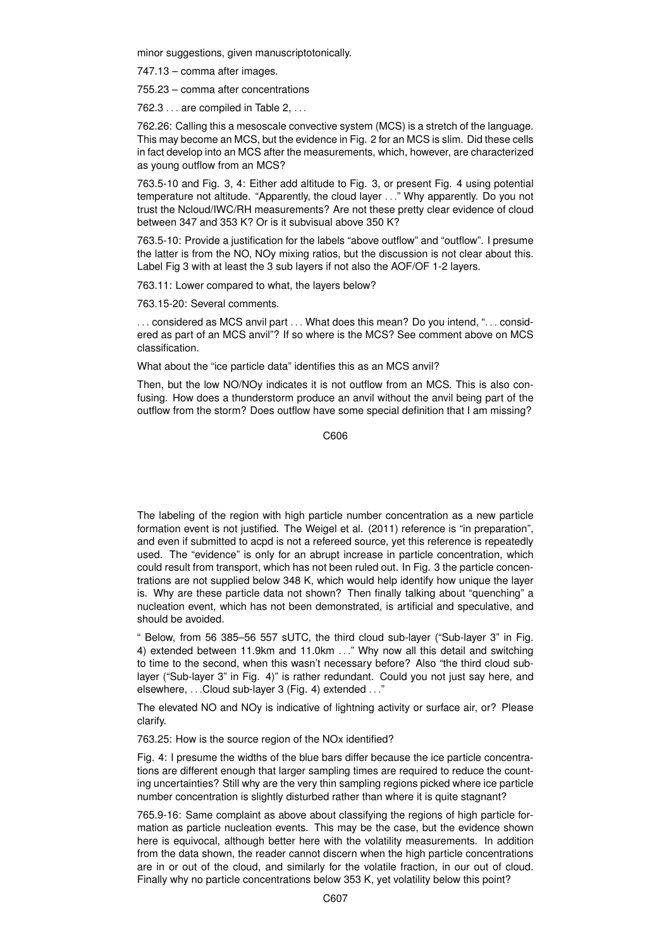minor suggestions, given manuscriptotonically.

747.13 – comma after images.

755.23 – comma after concentrations

 $762.3...$  are compiled in Table 2,  $...$ 

762.26: Calling this a mesoscale convective system (MCS) is a stretch of the language. This may become an MCS, but the evidence in Fig. 2 for an MCS is slim. Did these cells in fact develop into an MCS after the measurements, which, however, are characterized as young outflow from an MCS?

763.5-10 and Fig. 3, 4: Either add altitude to Fig. 3, or present Fig. 4 using potential temperature not altitude. "Apparently, the cloud layer . . ." Why apparently. Do you not trust the Ncloud/IWC/RH measurements? Are not these pretty clear evidence of cloud between 347 and 353 K? Or is it subvisual above 350 K?

763.5-10: Provide a justification for the labels "above outflow" and "outflow". I presume the latter is from the NO, NOy mixing ratios, but the discussion is not clear about this. Label Fig 3 with at least the 3 sub layers if not also the AOF/OF 1-2 layers.

763.11: Lower compared to what, the layers below?

763.15-20: Several comments.

... considered as MCS anvil part ... What does this mean? Do you intend, "... considered as part of an MCS anvil"? If so where is the MCS? See comment above on MCS classification.

What about the "ice particle data" identifies this as an MCS anvil?

Then, but the low NO/NOy indicates it is not outflow from an MCS. This is also confusing. How does a thunderstorm produce an anvil without the anvil being part of the outflow from the storm? Does outflow have some special definition that I am missing?

C606

The labeling of the region with high particle number concentration as a new particle formation event is not justified. The Weigel et al. (2011) reference is "in preparation", and even if submitted to acpd is not a refereed source, yet this reference is repeatedly used. The "evidence" is only for an abrupt increase in particle concentration, which could result from transport, which has not been ruled out. In Fig. 3 the particle concentrations are not supplied below 348 K, which would help identify how unique the layer is. Why are these particle data not shown? Then finally talking about "quenching" a nucleation event, which has not been demonstrated, is artificial and speculative, and should be avoided.

" Below, from 56 385–56 557 sUTC, the third cloud sub-layer ("Sub-layer 3" in Fig. 4) extended between 11.9km and 11.0km . . ." Why now all this detail and switching to time to the second, when this wasn't necessary before? Also "the third cloud sublayer ("Sub-layer 3" in Fig. 4)" is rather redundant. Could you not just say here, and elsewhere, . . .Cloud sub-layer 3 (Fig. 4) extended . . ."

The elevated NO and NOy is indicative of lightning activity or surface air, or? Please clarify.

763.25: How is the source region of the NOx identified?

Fig. 4: I presume the widths of the blue bars differ because the ice particle concentrations are different enough that larger sampling times are required to reduce the counting uncertainties? Still why are the very thin sampling regions picked where ice particle number concentration is slightly disturbed rather than where it is quite stagnant?

765.9-16: Same complaint as above about classifying the regions of high particle formation as particle nucleation events. This may be the case, but the evidence shown here is equivocal, although better here with the volatility measurements. In addition from the data shown, the reader cannot discern when the high particle concentrations are in or out of the cloud, and similarly for the volatile fraction, in our out of cloud. Finally why no particle concentrations below 353 K, yet volatility below this point?